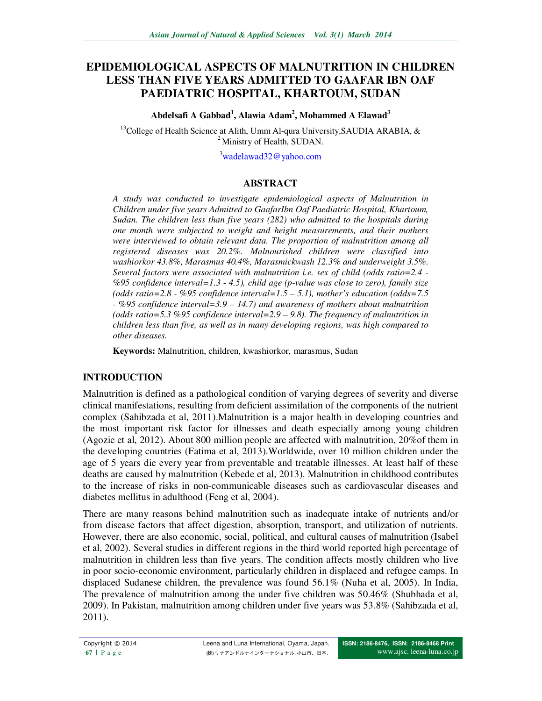# **EPIDEMIOLOGICAL ASPECTS OF MALNUTRITION IN CHILDREN LESS THAN FIVE YEARS ADMITTED TO GAAFAR IBN OAF PAEDIATRIC HOSPITAL, KHARTOUM, SUDAN**

**Abdelsafi A Gabbad<sup>1</sup> , Alawia Adam<sup>2</sup> , Mohammed A Elawad<sup>3</sup>**

<sup>13</sup>College of Health Science at Alith, Umm Al-qura University, SAUDIA ARABIA,  $\&$ <sup>2</sup> Ministry of Health, SUDAN.

<sup>3</sup>wadelawad32@yahoo.com

#### **ABSTRACT**

*A study was conducted to investigate epidemiological aspects of Malnutrition in Children under five years Admitted to GaafarIbn Oaf Paediatric Hospital, Khartoum, Sudan. The children less than five years (282) who admitted to the hospitals during one month were subjected to weight and height measurements, and their mothers were interviewed to obtain relevant data. The proportion of malnutrition among all registered diseases was 20.2%. Malnourished children were classified into washiorkor 43.8%, Marasmus 40.4%, Marasmickwash 12.3% and underweight 3.5%. Several factors were associated with malnutrition i.e. sex of child (odds ratio=2.4 - %95 confidence interval=1.3 - 4.5), child age (p-value was close to zero), family size (odds ratio=2.8 - %95 confidence interval=1.5 – 5.1), mother's education (odds=7.5 - %95 confidence interval=3.9 – 14.7) and awareness of mothers about malnutrition (odds ratio=5.3 %95 confidence interval=2.9 – 9.8). The frequency of malnutrition in children less than five, as well as in many developing regions, was high compared to other diseases.* 

**Keywords:** Malnutrition, children, kwashiorkor, marasmus, Sudan

#### **INTRODUCTION**

Malnutrition is defined as a pathological condition of varying degrees of severity and diverse clinical manifestations, resulting from deficient assimilation of the components of the nutrient complex (Sahibzada et al, 2011).Malnutrition is a major health in developing countries and the most important risk factor for illnesses and death especially among young children (Agozie et al, 2012). About 800 million people are affected with malnutrition, 20%of them in the developing countries (Fatima et al, 2013).Worldwide, over 10 million children under the age of 5 years die every year from preventable and treatable illnesses. At least half of these deaths are caused by malnutrition (Kebede et al, 2013). Malnutrition in childhood contributes to the increase of risks in non-communicable diseases such as cardiovascular diseases and diabetes mellitus in adulthood (Feng et al, 2004).

There are many reasons behind malnutrition such as inadequate intake of nutrients and/or from disease factors that affect digestion, absorption, transport, and utilization of nutrients. However, there are also economic, social, political, and cultural causes of malnutrition (Isabel et al, 2002). Several studies in different regions in the third world reported high percentage of malnutrition in children less than five years. The condition affects mostly children who live in poor socio-economic environment, particularly children in displaced and refugee camps. In displaced Sudanese children, the prevalence was found 56.1% (Nuha et al, 2005). In India, The prevalence of malnutrition among the under five children was 50.46% (Shubhada et al, 2009). In Pakistan, malnutrition among children under five years was 53.8% (Sahibzada et al, 2011).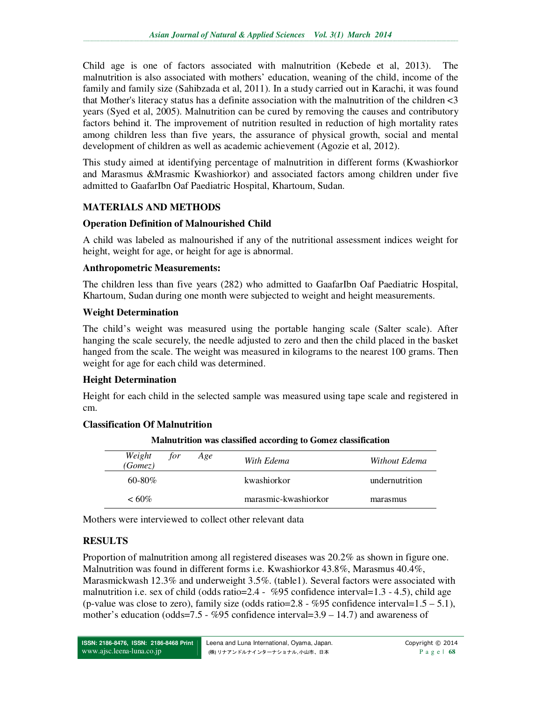Child age is one of factors associated with malnutrition (Kebede et al, 2013). The malnutrition is also associated with mothers' education, weaning of the child, income of the family and family size (Sahibzada et al, 2011). In a study carried out in Karachi, it was found that Mother's literacy status has a definite association with the malnutrition of the children <3 years (Syed et al, 2005). Malnutrition can be cured by removing the causes and contributory factors behind it. The improvement of nutrition resulted in reduction of high mortality rates among children less than five years, the assurance of physical growth, social and mental development of children as well as academic achievement (Agozie et al, 2012).

This study aimed at identifying percentage of malnutrition in different forms (Kwashiorkor and Marasmus &Mrasmic Kwashiorkor) and associated factors among children under five admitted to GaafarIbn Oaf Paediatric Hospital, Khartoum, Sudan.

### **MATERIALS AND METHODS**

#### **Operation Definition of Malnourished Child**

A child was labeled as malnourished if any of the nutritional assessment indices weight for height, weight for age, or height for age is abnormal.

#### **Anthropometric Measurements:**

The children less than five years (282) who admitted to GaafarIbn Oaf Paediatric Hospital, Khartoum, Sudan during one month were subjected to weight and height measurements.

### **Weight Determination**

The child's weight was measured using the portable hanging scale (Salter scale). After hanging the scale securely, the needle adjusted to zero and then the child placed in the basket hanged from the scale. The weight was measured in kilograms to the nearest 100 grams. Then weight for age for each child was determined.

#### **Height Determination**

Height for each child in the selected sample was measured using tape scale and registered in cm.

#### **Classification Of Malnutrition**

| Weight<br>for<br>(Gomez) | Age | With Edema           | Without Edema  |
|--------------------------|-----|----------------------|----------------|
| $60 - 80\%$              |     | kwashiorkor          | undernutrition |
| $<60\%$                  |     | marasmic-kwashiorkor | marasmus       |

**Malnutrition was classified according to Gomez classification** 

Mothers were interviewed to collect other relevant data

## **RESULTS**

Proportion of malnutrition among all registered diseases was 20.2% as shown in figure one. Malnutrition was found in different forms i.e. Kwashiorkor 43.8%, Marasmus 40.4%, Marasmickwash  $12.3\%$  and underweight  $3.5\%$ . (table1). Several factors were associated with malnutrition i.e. sex of child (odds ratio=2.4 - %95 confidence interval=1.3 - 4.5), child age (p-value was close to zero), family size (odds ratio=2.8 - %95 confidence interval= $1.5 - 5.1$ ), mother's education (odds=7.5 - %95 confidence interval=3.9 – 14.7) and awareness of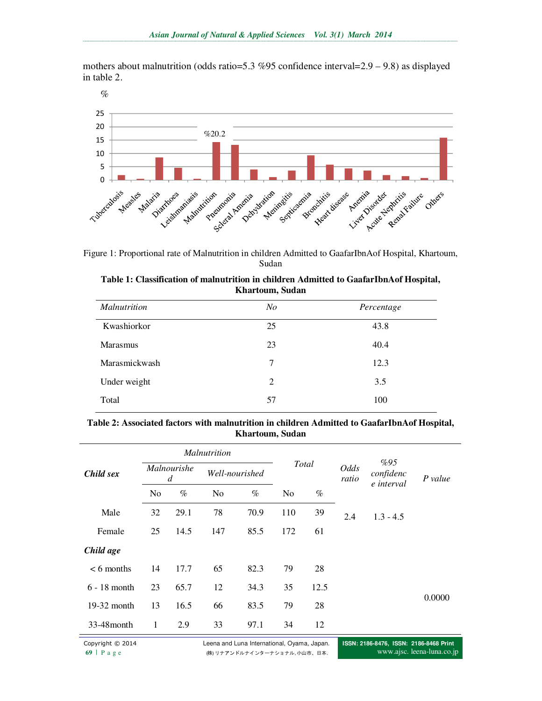mothers about malnutrition (odds ratio=5.3 %95 confidence interval=2.9 – 9.8) as displayed in table 2.



Figure 1: Proportional rate of Malnutrition in children Admitted to GaafarIbnAof Hospital, Khartoum, Sudan

| Table 1: Classification of malnutrition in children Admitted to GaafarIbnAof Hospital, |
|----------------------------------------------------------------------------------------|
| Khartoum, Sudan                                                                        |

| <i>Malnutrition</i> | N <sub>O</sub> | Percentage |
|---------------------|----------------|------------|
| Kwashiorkor         | 25             | 43.8       |
| <b>Marasmus</b>     | 23             | 40.4       |
| Marasmickwash       | 7              | 12.3       |
| Under weight        | 2              | 3.5        |
| Total               | 57             | 100        |

#### **Table 2: Associated factors with malnutrition in children Admitted to GaafarIbnAof Hospital, Khartoum, Sudan**

|                | <i>Malnutrition</i> |      |                |      |       |      |               |                                |         |
|----------------|---------------------|------|----------------|------|-------|------|---------------|--------------------------------|---------|
| Child sex      | Malnourishe<br>d    |      | Well-nourished |      | Total |      | Odds<br>ratio | %95<br>confidenc<br>e interval | P value |
|                | No                  | $\%$ | N <sub>o</sub> | $\%$ | No    | $\%$ |               |                                |         |
| Male           | 32                  | 29.1 | 78             | 70.9 | 110   | 39   | 2.4           | $1.3 - 4.5$                    |         |
| Female         | 25                  | 14.5 | 147            | 85.5 | 172   | 61   |               |                                |         |
| Child age      |                     |      |                |      |       |      |               |                                |         |
| $< 6$ months   | 14                  | 17.7 | 65             | 82.3 | 79    | 28   |               |                                |         |
| $6 - 18$ month | 23                  | 65.7 | 12             | 34.3 | 35    | 12.5 |               |                                |         |
| $19-32$ month  | 13                  | 16.5 | 66             | 83.5 | 79    | 28   |               |                                | 0.0000  |
| 33-48 month    | 1                   | 2.9  | 33             | 97.1 | 34    | 12   |               |                                |         |

Copyright © 2014 Leena and Luna International, Oyama, Japan. 69 | P a g e (株) リナアンドルナインターナショナル, 小山市、日本.

**ISSN: 2186-8476, ISSN: 2186-8468 Print**  www.ajsc. leena-luna.co.jp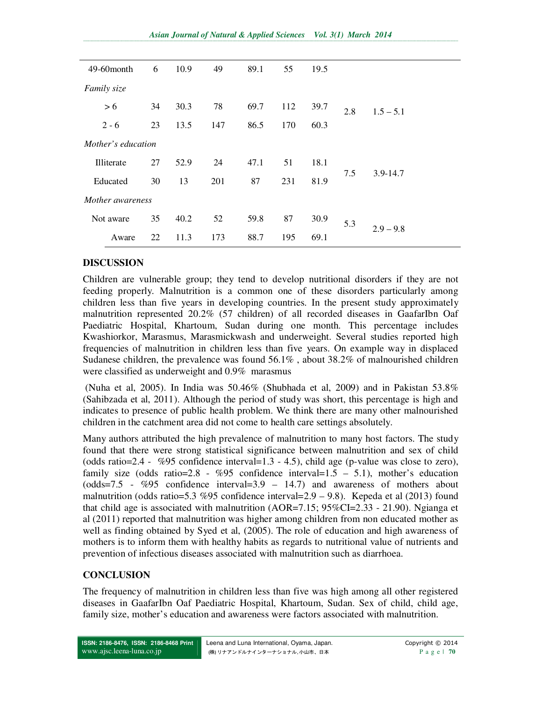| 49-60 month        | 6  | 10.9 | 49  | 89.1 | 55  | 19.5 |     |              |  |
|--------------------|----|------|-----|------|-----|------|-----|--------------|--|
| Family size        |    |      |     |      |     |      |     |              |  |
| > 6                | 34 | 30.3 | 78  | 69.7 | 112 | 39.7 | 2.8 | $1.5 - 5.1$  |  |
| $2 - 6$            | 23 | 13.5 | 147 | 86.5 | 170 | 60.3 |     |              |  |
| Mother's education |    |      |     |      |     |      |     |              |  |
| Illiterate         | 27 | 52.9 | 24  | 47.1 | 51  | 18.1 | 7.5 | $3.9 - 14.7$ |  |
| Educated           | 30 | 13   | 201 | 87   | 231 | 81.9 |     |              |  |
| Mother awareness   |    |      |     |      |     |      |     |              |  |
| Not aware          | 35 | 40.2 | 52  | 59.8 | 87  | 30.9 | 5.3 | $2.9 - 9.8$  |  |
| Aware              | 22 | 11.3 | 173 | 88.7 | 195 | 69.1 |     |              |  |

### **DISCUSSION**

Children are vulnerable group; they tend to develop nutritional disorders if they are not feeding properly. Malnutrition is a common one of these disorders particularly among children less than five years in developing countries. In the present study approximately malnutrition represented 20.2% (57 children) of all recorded diseases in GaafarIbn Oaf Paediatric Hospital, Khartoum, Sudan during one month. This percentage includes Kwashiorkor, Marasmus, Marasmickwash and underweight. Several studies reported high frequencies of malnutrition in children less than five years. On example way in displaced Sudanese children, the prevalence was found 56.1% , about 38.2% of malnourished children were classified as underweight and 0.9% marasmus

 (Nuha et al, 2005). In India was 50.46% (Shubhada et al, 2009) and in Pakistan 53.8% (Sahibzada et al, 2011). Although the period of study was short, this percentage is high and indicates to presence of public health problem. We think there are many other malnourished children in the catchment area did not come to health care settings absolutely.

Many authors attributed the high prevalence of malnutrition to many host factors. The study found that there were strong statistical significance between malnutrition and sex of child (odds ratio=2.4 - %95 confidence interval=1.3 - 4.5), child age (p-value was close to zero), family size (odds ratio=2.8 -  $\%95$  confidence interval=1.5 - 5.1), mother's education (odds=7.5 - %95 confidence interval=3.9 – 14.7) and awareness of mothers about malnutrition (odds ratio=5.3 %95 confidence interval=2.9 – 9.8). Kepeda et al (2013) found that child age is associated with malnutrition  $(AOR=7.15; 95\%CI=2.33 - 21.90)$ . Ngianga et al (2011) reported that malnutrition was higher among children from non educated mother as well as finding obtained by Syed et al, (2005). The role of education and high awareness of mothers is to inform them with healthy habits as regards to nutritional value of nutrients and prevention of infectious diseases associated with malnutrition such as diarrhoea.

## **CONCLUSION**

The frequency of malnutrition in children less than five was high among all other registered diseases in GaafarIbn Oaf Paediatric Hospital, Khartoum, Sudan. Sex of child, child age, family size, mother's education and awareness were factors associated with malnutrition.